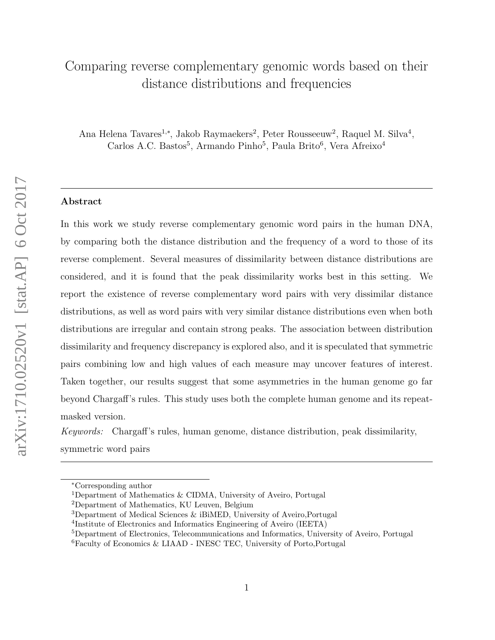# Comparing reverse complementary genomic words based on their distance distributions and frequencies

Ana Helena Tavares<sup>1,∗</sup>, Jakob Raymaekers<sup>2</sup>, Peter Rousseeuw<sup>2</sup>, Raquel M. Silva<sup>4</sup>, Carlos A.C. Bastos<sup>5</sup>, Armando Pinho<sup>5</sup>, Paula Brito<sup>6</sup>, Vera Afreixo<sup>4</sup>

# Abstract

In this work we study reverse complementary genomic word pairs in the human DNA, by comparing both the distance distribution and the frequency of a word to those of its reverse complement. Several measures of dissimilarity between distance distributions are considered, and it is found that the peak dissimilarity works best in this setting. We report the existence of reverse complementary word pairs with very dissimilar distance distributions, as well as word pairs with very similar distance distributions even when both distributions are irregular and contain strong peaks. The association between distribution dissimilarity and frequency discrepancy is explored also, and it is speculated that symmetric pairs combining low and high values of each measure may uncover features of interest. Taken together, our results suggest that some asymmetries in the human genome go far beyond Chargaff's rules. This study uses both the complete human genome and its repeatmasked version.

Keywords: Chargaff's rules, human genome, distance distribution, peak dissimilarity, symmetric word pairs

<sup>∗</sup>Corresponding author

<sup>1</sup>Department of Mathematics & CIDMA, University of Aveiro, Portugal

<sup>2</sup>Department of Mathematics, KU Leuven, Belgium

<sup>&</sup>lt;sup>3</sup>Department of Medical Sciences  $\&$  iBiMED, University of Aveiro, Portugal

<sup>4</sup> Institute of Electronics and Informatics Engineering of Aveiro (IEETA)

<sup>5</sup>Department of Electronics, Telecommunications and Informatics, University of Aveiro, Portugal

<sup>6</sup>Faculty of Economics & LIAAD - INESC TEC, University of Porto,Portugal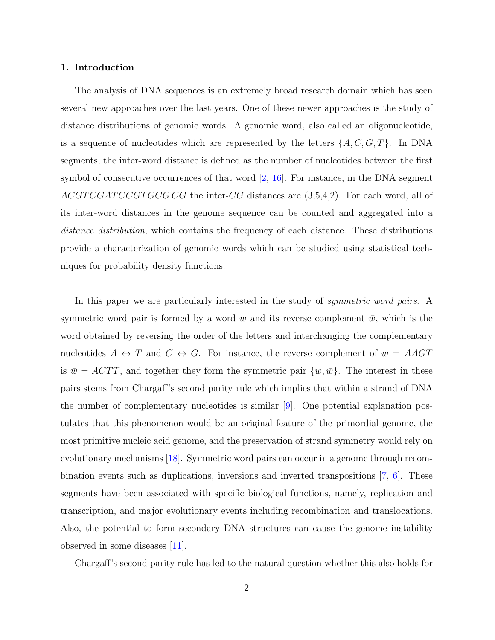#### 1. Introduction

The analysis of DNA sequences is an extremely broad research domain which has seen several new approaches over the last years. One of these newer approaches is the study of distance distributions of genomic words. A genomic word, also called an oligonucleotide, is a sequence of nucleotides which are represented by the letters  $\{A, C, G, T\}$ . In DNA segments, the inter-word distance is defined as the number of nucleotides between the first symbol of consecutive occurrences of that word  $[2, 16]$  $[2, 16]$  $[2, 16]$ . For instance, in the DNA segment  $ACGTCGATCCGTGCGCG$  the inter-CG distances are  $(3,5,4,2)$ . For each word, all of its inter-word distances in the genome sequence can be counted and aggregated into a distance distribution, which contains the frequency of each distance. These distributions provide a characterization of genomic words which can be studied using statistical techniques for probability density functions.

In this paper we are particularly interested in the study of *symmetric word pairs*. A symmetric word pair is formed by a word w and its reverse complement  $\bar{w}$ , which is the word obtained by reversing the order of the letters and interchanging the complementary nucleotides  $A \leftrightarrow T$  and  $C \leftrightarrow G$ . For instance, the reverse complement of  $w = AAGT$ is  $\bar{w} = ACTT$ , and together they form the symmetric pair  $\{w, \bar{w}\}\$ . The interest in these pairs stems from Chargaff's second parity rule which implies that within a strand of DNA the number of complementary nucleotides is similar [\[9\]](#page-20-0). One potential explanation postulates that this phenomenon would be an original feature of the primordial genome, the most primitive nucleic acid genome, and the preservation of strand symmetry would rely on evolutionary mechanisms [\[18\]](#page-21-1). Symmetric word pairs can occur in a genome through recombination events such as duplications, inversions and inverted transpositions [\[7,](#page-20-1) [6\]](#page-20-2). These segments have been associated with specific biological functions, namely, replication and transcription, and major evolutionary events including recombination and translocations. Also, the potential to form secondary DNA structures can cause the genome instability observed in some diseases [\[11\]](#page-20-3).

Chargaff's second parity rule has led to the natural question whether this also holds for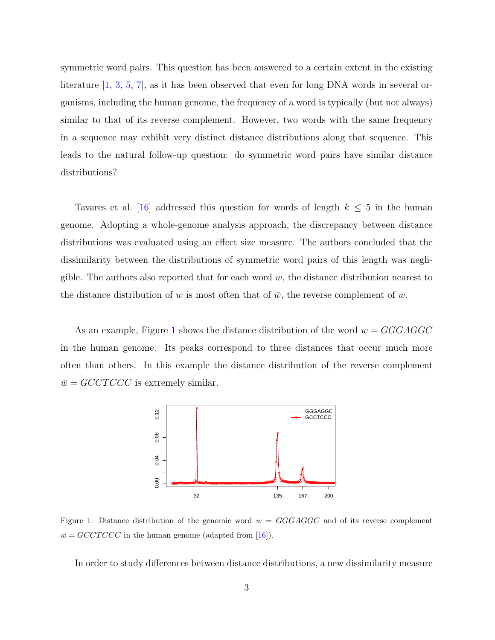symmetric word pairs. This question has been answered to a certain extent in the existing literature [\[1,](#page-19-1) [3,](#page-20-4) [5,](#page-20-5) [7\]](#page-20-1), as it has been observed that even for long DNA words in several organisms, including the human genome, the frequency of a word is typically (but not always) similar to that of its reverse complement. However, two words with the same frequency in a sequence may exhibit very distinct distance distributions along that sequence. This leads to the natural follow-up question: do symmetric word pairs have similar distance distributions?

Tavares et al. [\[16\]](#page-21-0) addressed this question for words of length  $k \leq 5$  in the human genome. Adopting a whole-genome analysis approach, the discrepancy between distance distributions was evaluated using an effect size measure. The authors concluded that the dissimilarity between the distributions of symmetric word pairs of this length was negligible. The authors also reported that for each word  $w$ , the distance distribution nearest to the distance distribution of w is most often that of  $\bar{w}$ , the reverse complement of w.

As an example, Figure [1](#page-2-0) shows the distance distribution of the word  $w = GGGAGGC$ in the human genome. Its peaks correspond to three distances that occur much more often than others. In this example the distance distribution of the reverse complement  $\overline{w} = \text{GCTCCC}$  is extremely similar.



<span id="page-2-0"></span>Figure 1: Distance distribution of the genomic word  $w = GGGAGGC$  and of its reverse complement  $\bar{w} =$  GCCTCCC in the human genome (adapted from [\[16\]](#page-21-0)).

In order to study differences between distance distributions, a new dissimilarity measure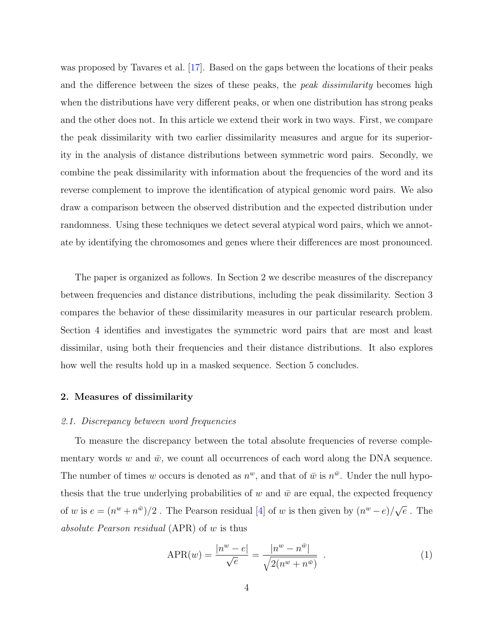was proposed by Tavares et al. [\[17\]](#page-21-2). Based on the gaps between the locations of their peaks and the difference between the sizes of these peaks, the *peak dissimilarity* becomes high when the distributions have very different peaks, or when one distribution has strong peaks and the other does not. In this article we extend their work in two ways. First, we compare the peak dissimilarity with two earlier dissimilarity measures and argue for its superiority in the analysis of distance distributions between symmetric word pairs. Secondly, we combine the peak dissimilarity with information about the frequencies of the word and its reverse complement to improve the identification of atypical genomic word pairs. We also draw a comparison between the observed distribution and the expected distribution under randomness. Using these techniques we detect several atypical word pairs, which we annotate by identifying the chromosomes and genes where their differences are most pronounced.

The paper is organized as follows. In Section 2 we describe measures of the discrepancy between frequencies and distance distributions, including the peak dissimilarity. Section 3 compares the behavior of these dissimilarity measures in our particular research problem. Section 4 identifies and investigates the symmetric word pairs that are most and least dissimilar, using both their frequencies and their distance distributions. It also explores how well the results hold up in a masked sequence. Section 5 concludes.

# 2. Measures of dissimilarity

#### 2.1. Discrepancy between word frequencies

To measure the discrepancy between the total absolute frequencies of reverse complementary words w and  $\bar{w}$ , we count all occurrences of each word along the DNA sequence. The number of times w occurs is denoted as  $n^w$ , and that of  $\bar{w}$  is  $n^{\bar{w}}$ . Under the null hypothesis that the true underlying probabilities of w and  $\bar{w}$  are equal, the expected frequency of w is  $e = (n^w + n^{\bar{w}})/2$ . The Pearson residual [\[4\]](#page-20-6) of w is then given by  $(n^w - e)/\sqrt{\pi}$  $\overline{e}$ . The absolute Pearson residual (APR) of w is thus

APR(w) = 
$$
\frac{|n^w - e|}{\sqrt{e}} = \frac{|n^w - n^{\bar{w}}|}{\sqrt{2(n^w + n^{\bar{w}})}}
$$
 (1)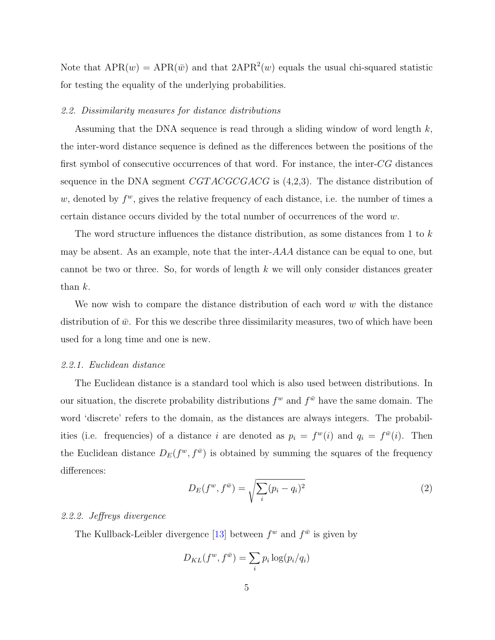Note that  $APR(w) = APR(\bar{w})$  and that  $2APR^2(w)$  equals the usual chi-squared statistic for testing the equality of the underlying probabilities.

# 2.2. Dissimilarity measures for distance distributions

Assuming that the DNA sequence is read through a sliding window of word length  $k$ , the inter-word distance sequence is defined as the differences between the positions of the first symbol of consecutive occurrences of that word. For instance, the inter-CG distances sequence in the DNA segment  $CGTACGCGACG$  is  $(4,2,3)$ . The distance distribution of w, denoted by  $f^w$ , gives the relative frequency of each distance, i.e. the number of times a certain distance occurs divided by the total number of occurrences of the word  $w$ .

The word structure influences the distance distribution, as some distances from 1 to k may be absent. As an example, note that the inter- $AAA$  distance can be equal to one, but cannot be two or three. So, for words of length  $k$  we will only consider distances greater than k.

We now wish to compare the distance distribution of each word  $w$  with the distance distribution of  $\bar{w}$ . For this we describe three dissimilarity measures, two of which have been used for a long time and one is new.

## 2.2.1. Euclidean distance

The Euclidean distance is a standard tool which is also used between distributions. In our situation, the discrete probability distributions  $f^w$  and  $f^{\bar{w}}$  have the same domain. The word 'discrete' refers to the domain, as the distances are always integers. The probabilities (i.e. frequencies) of a distance i are denoted as  $p_i = f^w(i)$  and  $q_i = f^{\bar{w}}(i)$ . Then the Euclidean distance  $D_E(f^w, f^{\bar{w}})$  is obtained by summing the squares of the frequency differences:

$$
D_E(f^w, f^{\bar{w}}) = \sqrt{\sum_i (p_i - q_i)^2}
$$
 (2)

## 2.2.2. Jeffreys divergence

The Kullback-Leibler divergence [\[13\]](#page-20-7) between  $f^w$  and  $f^{\bar{w}}$  is given by

$$
D_{KL}(f^w, f^{\bar{w}}) = \sum_i p_i \log(p_i/q_i)
$$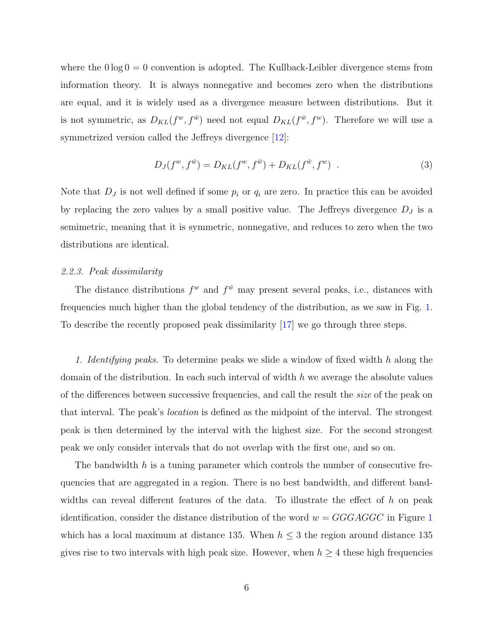where the  $0 \log 0 = 0$  convention is adopted. The Kullback-Leibler divergence stems from information theory. It is always nonnegative and becomes zero when the distributions are equal, and it is widely used as a divergence measure between distributions. But it is not symmetric, as  $D_{KL}(f^w, f^{\bar{w}})$  need not equal  $D_{KL}(f^{\bar{w}}, f^w)$ . Therefore we will use a symmetrized version called the Jeffreys divergence [\[12\]](#page-20-8):

$$
D_J(f^w, f^{\bar{w}}) = D_{KL}(f^w, f^{\bar{w}}) + D_{KL}(f^{\bar{w}}, f^w) \quad . \tag{3}
$$

Note that  $D_j$  is not well defined if some  $p_i$  or  $q_i$  are zero. In practice this can be avoided by replacing the zero values by a small positive value. The Jeffreys divergence  $D_J$  is a semimetric, meaning that it is symmetric, nonnegative, and reduces to zero when the two distributions are identical.

# 2.2.3. Peak dissimilarity

The distance distributions  $f^w$  and  $f^{\bar{w}}$  may present several peaks, i.e., distances with frequencies much higher than the global tendency of the distribution, as we saw in Fig. [1.](#page-2-0) To describe the recently proposed peak dissimilarity [\[17\]](#page-21-2) we go through three steps.

1. Identifying peaks. To determine peaks we slide a window of fixed width h along the domain of the distribution. In each such interval of width  $h$  we average the absolute values of the differences between successive frequencies, and call the result the size of the peak on that interval. The peak's location is defined as the midpoint of the interval. The strongest peak is then determined by the interval with the highest size. For the second strongest peak we only consider intervals that do not overlap with the first one, and so on.

The bandwidth  $h$  is a tuning parameter which controls the number of consecutive frequencies that are aggregated in a region. There is no best bandwidth, and different bandwidths can reveal different features of the data. To illustrate the effect of  $h$  on peak identification, consider the distance distribution of the word  $w = GGGAGGC$  in Figure [1](#page-2-0) which has a local maximum at distance 135. When  $h \leq 3$  the region around distance 135 gives rise to two intervals with high peak size. However, when  $h \geq 4$  these high frequencies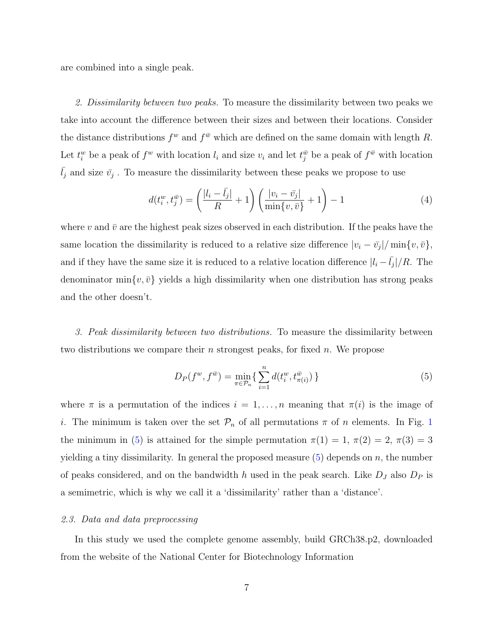are combined into a single peak.

2. Dissimilarity between two peaks. To measure the dissimilarity between two peaks we take into account the difference between their sizes and between their locations. Consider the distance distributions  $f^w$  and  $f^{\bar{w}}$  which are defined on the same domain with length R. Let  $t_i^w$  be a peak of  $f^w$  with location  $l_i$  and size  $v_i$  and let  $t_j^{\bar{w}}$  be a peak of  $f^{\bar{w}}$  with location  $\bar{l}_j$  and size  $\bar{v}_j$ . To measure the dissimilarity between these peaks we propose to use

$$
d(t_i^w, t_j^{\bar{w}}) = \left(\frac{|l_i - \bar{l}_j|}{R} + 1\right) \left(\frac{|v_i - \bar{v}_j|}{\min\{v, \bar{v}\}} + 1\right) - 1\tag{4}
$$

where v and  $\bar{v}$  are the highest peak sizes observed in each distribution. If the peaks have the same location the dissimilarity is reduced to a relative size difference  $|v_i - \bar{v}_j| / \min\{v, \bar{v}\},$ and if they have the same size it is reduced to a relative location difference  $|l_i - \bar{l}_j|/R$ . The denominator min $\{v, \bar{v}\}\$  yields a high dissimilarity when one distribution has strong peaks and the other doesn't.

3. Peak dissimilarity between two distributions. To measure the dissimilarity between two distributions we compare their n strongest peaks, for fixed  $n$ . We propose

<span id="page-6-0"></span>
$$
D_P(f^w, f^{\bar{w}}) = \min_{\pi \in \mathcal{P}_n} \left\{ \sum_{i=1}^n d(t_i^w, t_{\pi(i)}^{\bar{w}}) \right\} \tag{5}
$$

where  $\pi$  is a permutation of the indices  $i = 1, \ldots, n$  meaning that  $\pi(i)$  is the image of i. The minimum is taken over the set  $\mathcal{P}_n$  of all permutations  $\pi$  of n elements. In Fig. [1](#page-2-0) the minimum in [\(5\)](#page-6-0) is attained for the simple permutation  $\pi(1) = 1, \pi(2) = 2, \pi(3) = 3$ yielding a tiny dissimilarity. In general the proposed measure  $(5)$  depends on n, the number of peaks considered, and on the bandwidth h used in the peak search. Like  $D<sub>J</sub>$  also  $D<sub>P</sub>$  is a semimetric, which is why we call it a 'dissimilarity' rather than a 'distance'.

# 2.3. Data and data preprocessing

In this study we used the complete genome assembly, build GRCh38.p2, downloaded from the website of the National Center for Biotechnology Information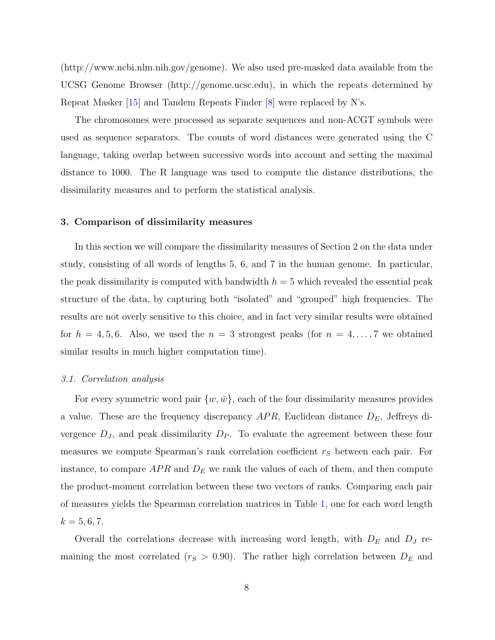(http://www.ncbi.nlm.nih.gov/genome). We also used pre-masked data available from the UCSG Genome Browser (http://genome.ucsc.edu), in which the repeats determined by Repeat Masker [\[15\]](#page-21-3) and Tandem Repeats Finder [\[8\]](#page-20-9) were replaced by N's.

The chromosomes were processed as separate sequences and non-ACGT symbols were used as sequence separators. The counts of word distances were generated using the C language, taking overlap between successive words into account and setting the maximal distance to 1000. The R language was used to compute the distance distributions, the dissimilarity measures and to perform the statistical analysis.

# 3. Comparison of dissimilarity measures

In this section we will compare the dissimilarity measures of Section 2 on the data under study, consisting of all words of lengths 5, 6, and 7 in the human genome. In particular, the peak dissimilarity is computed with bandwidth  $h = 5$  which revealed the essential peak structure of the data, by capturing both "isolated" and "grouped" high frequencies. The results are not overly sensitive to this choice, and in fact very similar results were obtained for  $h = 4, 5, 6$ . Also, we used the  $n = 3$  strongest peaks (for  $n = 4, \ldots, 7$  we obtained similar results in much higher computation time).

#### 3.1. Correlation analysis

For every symmetric word pair  $\{w,\bar{w}\}\$ , each of the four dissimilarity measures provides a value. These are the frequency discrepancy  $APR$ , Euclidean distance  $D<sub>E</sub>$ , Jeffreys divergence  $D_J$ , and peak dissimilarity  $D_P$ . To evaluate the agreement between these four measures we compute Spearman's rank correlation coefficient  $r<sub>S</sub>$  between each pair. For instance, to compare  $APR$  and  $D<sub>E</sub>$  we rank the values of each of them, and then compute the product-moment correlation between these two vectors of ranks. Comparing each pair of measures yields the Spearman correlation matrices in Table [1,](#page-8-0) one for each word length  $k = 5, 6, 7.$ 

Overall the correlations decrease with increasing word length, with  $D<sub>E</sub>$  and  $D<sub>J</sub>$  remaining the most correlated ( $r_S > 0.90$ ). The rather high correlation between  $D_E$  and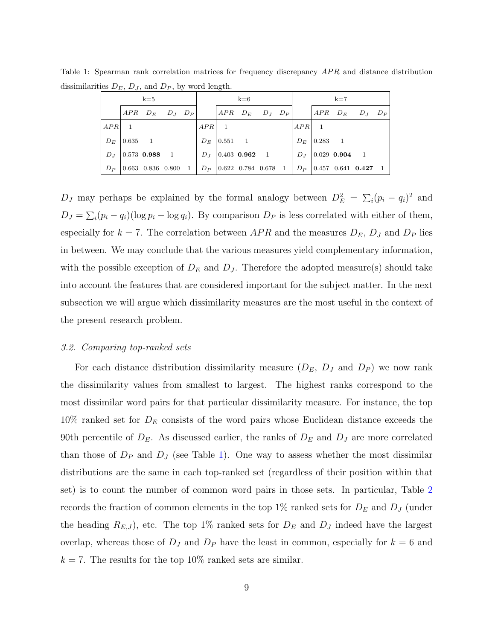<span id="page-8-0"></span>

| $k=5$   |              |                                     |  | $k=6$ |         |  |                                            | $k=7$ |  |         |         |                       |                             |  |
|---------|--------------|-------------------------------------|--|-------|---------|--|--------------------------------------------|-------|--|---------|---------|-----------------------|-----------------------------|--|
|         |              | $APR$ $D_E$ $D_J$ $D_P$             |  |       |         |  | $APR$ $D_E$ $D_J$ $D_P$                    |       |  |         |         |                       | $APR$ $D_E$ $D_J$ $D_P$     |  |
| $APR$ 1 |              |                                     |  |       | $APR$ 1 |  |                                            |       |  | $APR$ 1 |         |                       |                             |  |
| $D_E$   | $ 0.635 \t1$ |                                     |  |       | $D_E$   |  | $\begin{array}{ccc} 0.551 & 1 \end{array}$ |       |  | $D_E$   | 0.283 1 |                       |                             |  |
| $D_J$   |              | $\vert 0.573 \; 0.988 \; 1 \rangle$ |  |       |         |  | $D_J$   0.403 0.962 1                      |       |  |         |         | $D_J$   0.029 0.904 1 |                             |  |
| $D_P$   |              | $ 0.663 \t0.836 \t0.800 \t1$        |  |       |         |  | $D_P$   0.622 0.784 0.678 1                |       |  |         |         |                       | $D_P$   0.457 0.641 0.427 1 |  |

Table 1: Spearman rank correlation matrices for frequency discrepancy APR and distance distribution dissimilarities  $D_E$ ,  $D_J$ , and  $D_P$ , by word length.

D<sub>J</sub> may perhaps be explained by the formal analogy between  $D_E^2 = \sum_i (p_i - q_i)^2$  and  $D_J = \sum_i (p_i - q_i)(\log p_i - \log q_i)$ . By comparison  $D_P$  is less correlated with either of them, especially for  $k = 7$ . The correlation between APR and the measures  $D_E$ ,  $D_J$  and  $D_P$  lies in between. We may conclude that the various measures yield complementary information, with the possible exception of  $D<sub>E</sub>$  and  $D<sub>J</sub>$ . Therefore the adopted measure(s) should take into account the features that are considered important for the subject matter. In the next subsection we will argue which dissimilarity measures are the most useful in the context of the present research problem.

#### 3.2. Comparing top-ranked sets

For each distance distribution dissimilarity measure  $(D_E, D_J$  and  $D_P$ ) we now rank the dissimilarity values from smallest to largest. The highest ranks correspond to the most dissimilar word pairs for that particular dissimilarity measure. For instance, the top  $10\%$  ranked set for  $D<sub>E</sub>$  consists of the word pairs whose Euclidean distance exceeds the 90th percentile of  $D_E$ . As discussed earlier, the ranks of  $D_E$  and  $D_J$  are more correlated than those of  $D_P$  and  $D_J$  (see Table [1\)](#page-8-0). One way to assess whether the most dissimilar distributions are the same in each top-ranked set (regardless of their position within that set) is to count the number of common word pairs in those sets. In particular, Table [2](#page-9-0) records the fraction of common elements in the top 1% ranked sets for  $D<sub>E</sub>$  and  $D<sub>J</sub>$  (under the heading  $R_{E,J}$ , etc. The top 1% ranked sets for  $D_E$  and  $D_J$  indeed have the largest overlap, whereas those of  $D_J$  and  $D_P$  have the least in common, especially for  $k = 6$  and  $k = 7$ . The results for the top 10% ranked sets are similar.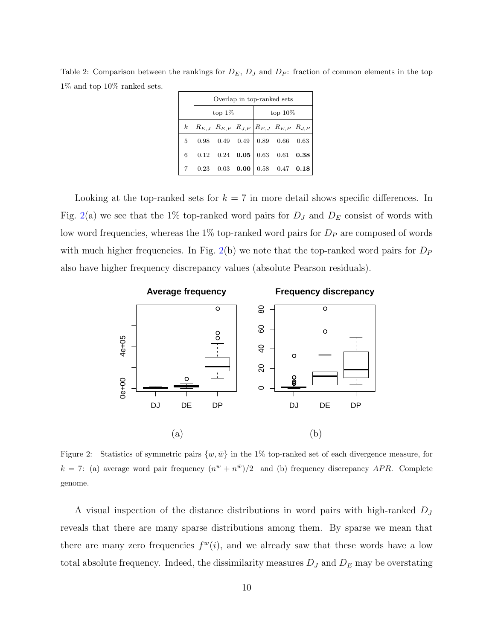<span id="page-9-0"></span>Table 2: Comparison between the rankings for  $D_E$ ,  $D_J$  and  $D_P$ : fraction of common elements in the top 1% and top 10% ranked sets.

|                | Overlap in top-ranked sets |           |  |            |                                                                                                          |  |  |  |  |  |  |
|----------------|----------------------------|-----------|--|------------|----------------------------------------------------------------------------------------------------------|--|--|--|--|--|--|
|                |                            | top $1\%$ |  | top $10\%$ |                                                                                                          |  |  |  |  |  |  |
| $\kappa$       |                            |           |  |            | $R_{E,J}$ $R_{E,P}$ $R_{J,P}$ $R_{E,J}$ $R_{E,P}$ $R_{J,P}$                                              |  |  |  |  |  |  |
| 5 <sup>5</sup> |                            |           |  |            | $\begin{array}{ c c c c c c c c c } \hline 0.98 & 0.49 & 0.49 & 0.89 & 0.66 & 0.63 \ \hline \end{array}$ |  |  |  |  |  |  |
| 6              |                            |           |  |            | $0.12 \quad 0.24 \quad 0.05 \begin{array}{ ccc } 0.63 \quad 0.61 \quad 0.38 \end{array}$                 |  |  |  |  |  |  |
|                |                            |           |  |            | 0.23 0.03 0.00 0.58 0.47 0.18                                                                            |  |  |  |  |  |  |

Looking at the top-ranked sets for  $k = 7$  in more detail shows specific differences. In Fig. [2\(](#page-9-1)a) we see that the 1% top-ranked word pairs for  $D_J$  and  $D_E$  consist of words with low word frequencies, whereas the  $1\%$  top-ranked word pairs for  $D<sub>P</sub>$  are composed of words with much higher frequencies. In Fig. [2\(](#page-9-1)b) we note that the top-ranked word pairs for  $D_P$ also have higher frequency discrepancy values (absolute Pearson residuals).



<span id="page-9-1"></span>Figure 2: Statistics of symmetric pairs  $\{w, \bar{w}\}$  in the 1% top-ranked set of each divergence measure, for  $k = 7$ : (a) average word pair frequency  $(n^w + n^{\overline{w}})/2$  and (b) frequency discrepancy APR. Complete genome.

A visual inspection of the distance distributions in word pairs with high-ranked  $D_J$ reveals that there are many sparse distributions among them. By sparse we mean that there are many zero frequencies  $f^w(i)$ , and we already saw that these words have a low total absolute frequency. Indeed, the dissimilarity measures  $D_J$  and  $D_E$  may be overstating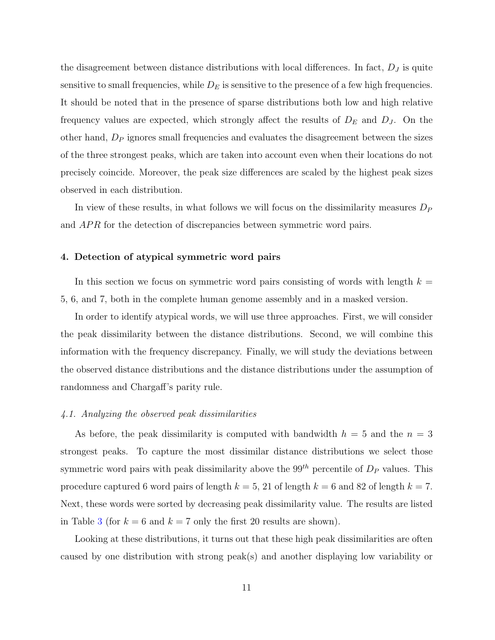the disagreement between distance distributions with local differences. In fact,  $D_J$  is quite sensitive to small frequencies, while  $D<sub>E</sub>$  is sensitive to the presence of a few high frequencies. It should be noted that in the presence of sparse distributions both low and high relative frequency values are expected, which strongly affect the results of  $D<sub>E</sub>$  and  $D<sub>J</sub>$ . On the other hand,  $D<sub>P</sub>$  ignores small frequencies and evaluates the disagreement between the sizes of the three strongest peaks, which are taken into account even when their locations do not precisely coincide. Moreover, the peak size differences are scaled by the highest peak sizes observed in each distribution.

In view of these results, in what follows we will focus on the dissimilarity measures  $D<sub>P</sub>$ and APR for the detection of discrepancies between symmetric word pairs.

# 4. Detection of atypical symmetric word pairs

In this section we focus on symmetric word pairs consisting of words with length  $k =$ 5, 6, and 7, both in the complete human genome assembly and in a masked version.

In order to identify atypical words, we will use three approaches. First, we will consider the peak dissimilarity between the distance distributions. Second, we will combine this information with the frequency discrepancy. Finally, we will study the deviations between the observed distance distributions and the distance distributions under the assumption of randomness and Chargaff's parity rule.

# 4.1. Analyzing the observed peak dissimilarities

As before, the peak dissimilarity is computed with bandwidth  $h = 5$  and the  $n = 3$ strongest peaks. To capture the most dissimilar distance distributions we select those symmetric word pairs with peak dissimilarity above the  $99^{th}$  percentile of  $D<sub>P</sub>$  values. This procedure captured 6 word pairs of length  $k = 5$ , 21 of length  $k = 6$  and 82 of length  $k = 7$ . Next, these words were sorted by decreasing peak dissimilarity value. The results are listed in Table [3](#page-11-0) (for  $k = 6$  and  $k = 7$  only the first 20 results are shown).

Looking at these distributions, it turns out that these high peak dissimilarities are often caused by one distribution with strong peak(s) and another displaying low variability or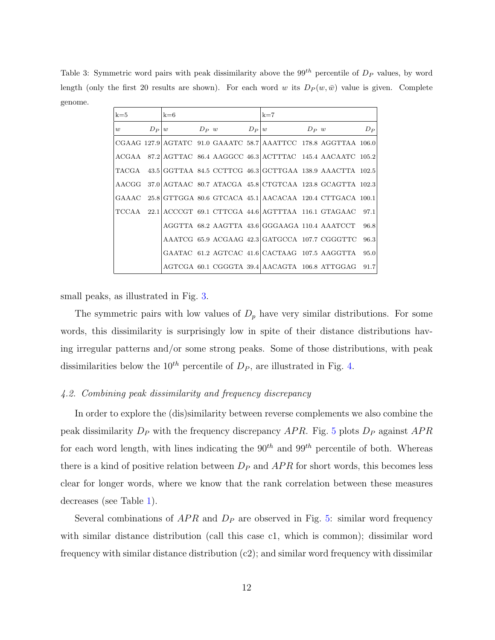<span id="page-11-0"></span>Table 3: Symmetric word pairs with peak dissimilarity above the  $99^{th}$  percentile of  $D<sub>P</sub>$  values, by word length (only the first 20 results are shown). For each word w its  $D_P(w, \bar{w})$  value is given. Complete genome.

| $k=5$ |         | $k=6$ |                 | $k=7$                                                                    |         |       |
|-------|---------|-------|-----------------|--------------------------------------------------------------------------|---------|-------|
| w     | $D_P w$ |       | $D_P w$ $D_P w$ |                                                                          | $D_P w$ | $D_P$ |
|       |         |       |                 | CGAAG 127.9 AGTATC 91.0 GAAATC 58.7 AAATTCC 178.8 AGGTTAA 106.0          |         |       |
|       |         |       |                 | ACGAA 87.2 AGTTAC 86.4 AAGGCC 46.3 ACTTTAC 145.4 AACAATC 105.2           |         |       |
|       |         |       |                 | TACGA 43.5 GGTTAA 84.5 CCTTCG 46.3 GCTTGAA 138.9 AAACTTA 102.5           |         |       |
|       |         |       |                 | $AACGG$ 37.0 $AGTAAC$ 80.7 $ATACGA$ 45.8 $CTGTCAA$ 123.8 $GCAGTTA$ 102.3 |         |       |
|       |         |       |                 | GAAAC 25.8 GTTGGA 80.6 GTCACA 45.1 AACACAA 120.4 CTTGACA 100.1           |         |       |
|       |         |       |                 | TCCAA 22.1 ACCCGT 69.1 CTTCGA 44.6 AGTTTAA 116.1 GTAGAAC 97.1            |         |       |
|       |         |       |                 | AGGTTA 68.2 AAGTTA 43.6 GGGAAGA 110.4 AAATCCT                            |         | 96.8  |
|       |         |       |                 | AAATCG 65.9 ACGAAG 42.3 GATGCCA 107.7 CGGGTTC                            |         | 96.3  |
|       |         |       |                 | GAATAC 61.2 AGTCAC 41.6 CACTAAG 107.5 AAGGTTA                            |         | 95.0  |
|       |         |       |                 | AGTCGA 60.1 CGGGTA 39.4 AACAGTA 106.8 ATTGGAG                            |         | 91.7  |

small peaks, as illustrated in Fig. [3.](#page-12-0)

The symmetric pairs with low values of  $D_p$  have very similar distributions. For some words, this dissimilarity is surprisingly low in spite of their distance distributions having irregular patterns and/or some strong peaks. Some of those distributions, with peak dissimilarities below the  $10^{th}$  percentile of  $D_P$ , are illustrated in Fig. [4.](#page-12-1)

# 4.2. Combining peak dissimilarity and frequency discrepancy

In order to explore the (dis)similarity between reverse complements we also combine the peak dissimilarity  $D_P$  with the frequency discrepancy  $APR$ . Fig. [5](#page-13-0) plots  $D_P$  against  $APR$ for each word length, with lines indicating the  $90^{th}$  and  $99^{th}$  percentile of both. Whereas there is a kind of positive relation between  $D_P$  and  $APR$  for short words, this becomes less clear for longer words, where we know that the rank correlation between these measures decreases (see Table [1\)](#page-8-0).

Several combinations of  $APR$  and  $D<sub>P</sub>$  are observed in Fig. [5:](#page-13-0) similar word frequency with similar distance distribution (call this case c1, which is common); dissimilar word frequency with similar distance distribution (c2); and similar word frequency with dissimilar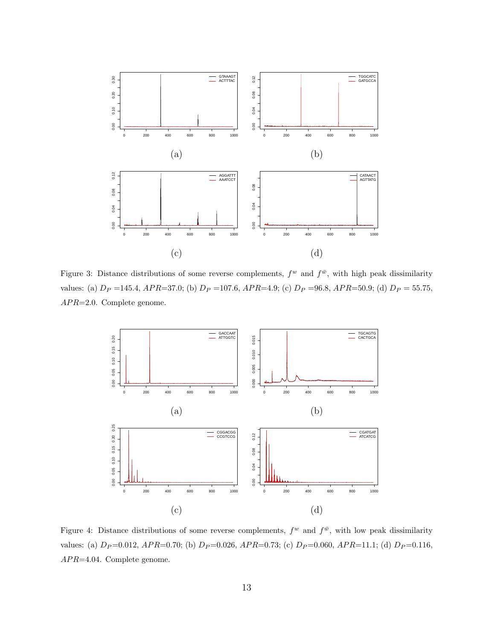

<span id="page-12-0"></span>Figure 3: Distance distributions of some reverse complements,  $f^w$  and  $f^{\bar{w}}$ , with high peak dissimilarity values: (a)  $D_P = 145.4$ ,  $APR = 37.0$ ; (b)  $D_P = 107.6$ ,  $APR = 4.9$ ; (c)  $D_P = 96.8$ ,  $APR = 50.9$ ; (d)  $D_P = 55.75$ ,  $APR = 2.0$ . Complete genome.



<span id="page-12-1"></span>Figure 4: Distance distributions of some reverse complements,  $f^w$  and  $f^{\bar{w}}$ , with low peak dissimilarity values: (a)  $D_P=0.012$ ,  $APR=0.70$ ; (b)  $D_P=0.026$ ,  $APR=0.73$ ; (c)  $D_P=0.060$ ,  $APR=11.1$ ; (d)  $D_P=0.116$ ,  $APR=4.04.$  Complete genome.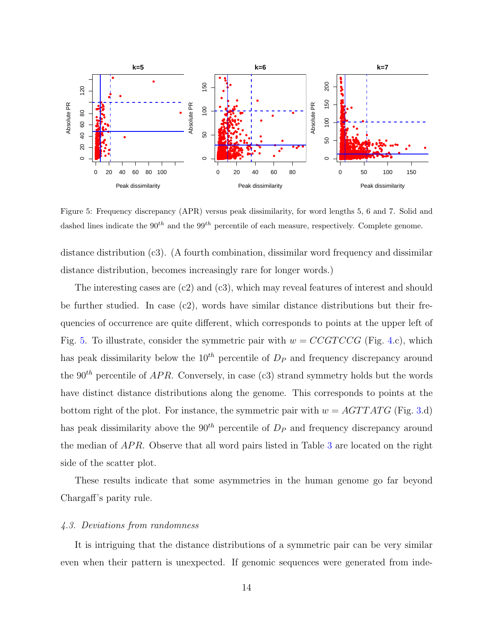

<span id="page-13-0"></span>Figure 5: Frequency discrepancy (APR) versus peak dissimilarity, for word lengths 5, 6 and 7. Solid and dashed lines indicate the  $90^{th}$  and the  $99^{th}$  percentile of each measure, respectively. Complete genome.

distance distribution (c3). (A fourth combination, dissimilar word frequency and dissimilar distance distribution, becomes increasingly rare for longer words.)

The interesting cases are (c2) and (c3), which may reveal features of interest and should be further studied. In case  $(c2)$ , words have similar distance distributions but their frequencies of occurrence are quite different, which corresponds to points at the upper left of Fig. [5.](#page-13-0) To illustrate, consider the symmetric pair with  $w = CCGTCCG$  (Fig. [4.](#page-12-1)c), which has peak dissimilarity below the  $10^{th}$  percentile of  $D<sub>P</sub>$  and frequency discrepancy around the  $90<sup>th</sup>$  percentile of  $APR$ . Conversely, in case (c3) strand symmetry holds but the words have distinct distance distributions along the genome. This corresponds to points at the bottom right of the plot. For instance, the symmetric pair with  $w = AGTTATG$  (Fig. [3.](#page-12-0)d) has peak dissimilarity above the  $90<sup>th</sup>$  percentile of  $D<sub>P</sub>$  and frequency discrepancy around the median of  $APR$ . Observe that all word pairs listed in Table [3](#page-11-0) are located on the right side of the scatter plot.

These results indicate that some asymmetries in the human genome go far beyond Chargaff's parity rule.

#### 4.3. Deviations from randomness

It is intriguing that the distance distributions of a symmetric pair can be very similar even when their pattern is unexpected. If genomic sequences were generated from inde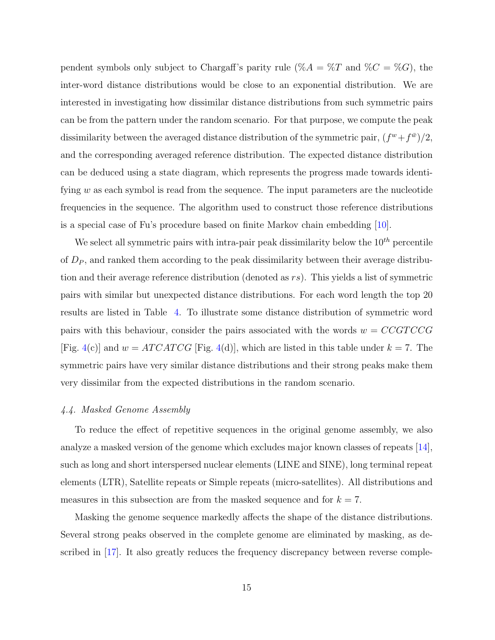pendent symbols only subject to Chargaff's parity rule (% $A = \%T$  and  $%C = \%G$ ), the inter-word distance distributions would be close to an exponential distribution. We are interested in investigating how dissimilar distance distributions from such symmetric pairs can be from the pattern under the random scenario. For that purpose, we compute the peak dissimilarity between the averaged distance distribution of the symmetric pair,  $(f^w + f^{\bar{w}})/2$ , and the corresponding averaged reference distribution. The expected distance distribution can be deduced using a state diagram, which represents the progress made towards identifying  $w$  as each symbol is read from the sequence. The input parameters are the nucleotide frequencies in the sequence. The algorithm used to construct those reference distributions is a special case of Fu's procedure based on finite Markov chain embedding [\[10\]](#page-20-10).

We select all symmetric pairs with intra-pair peak dissimilarity below the  $10^{th}$  percentile of  $D<sub>P</sub>$ , and ranked them according to the peak dissimilarity between their average distribution and their average reference distribution (denoted as  $rs$ ). This yields a list of symmetric pairs with similar but unexpected distance distributions. For each word length the top 20 results are listed in Table [4.](#page-15-0) To illustrate some distance distribution of symmetric word pairs with this behaviour, consider the pairs associated with the words  $w = CCGTCCG$ [Fig. [4\(](#page-12-1)c)] and  $w = ATCATCG$  [Fig. 4(d)], which are listed in this table under  $k = 7$ . The symmetric pairs have very similar distance distributions and their strong peaks make them very dissimilar from the expected distributions in the random scenario.

# 4.4. Masked Genome Assembly

To reduce the effect of repetitive sequences in the original genome assembly, we also analyze a masked version of the genome which excludes major known classes of repeats [\[14\]](#page-21-4), such as long and short interspersed nuclear elements (LINE and SINE), long terminal repeat elements (LTR), Satellite repeats or Simple repeats (micro-satellites). All distributions and measures in this subsection are from the masked sequence and for  $k = 7$ .

Masking the genome sequence markedly affects the shape of the distance distributions. Several strong peaks observed in the complete genome are eliminated by masking, as described in [\[17\]](#page-21-2). It also greatly reduces the frequency discrepancy between reverse comple-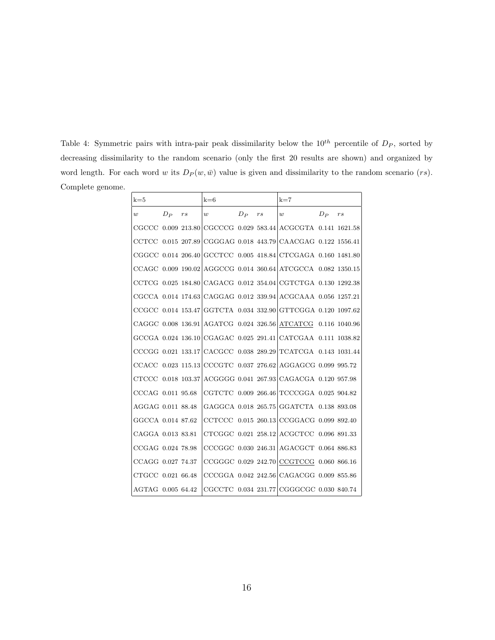<span id="page-15-0"></span>Table 4: Symmetric pairs with intra-pair peak dissimilarity below the  $10^{th}$  percentile of  $D<sub>P</sub>$ , sorted by decreasing dissimilarity to the random scenario (only the first 20 results are shown) and organized by word length. For each word w its  $D_P(w, \bar{w})$  value is given and dissimilarity to the random scenario  $(rs)$ . Complete genome.

| $k=5$              |       |                      | $k=6$            |         |    | $k=7$                                                            |         |         |
|--------------------|-------|----------------------|------------------|---------|----|------------------------------------------------------------------|---------|---------|
| $\boldsymbol{w}$   | $D_P$ | $r\hspace{0.025cm}s$ | $\boldsymbol{w}$ | $D_{P}$ | rs | w                                                                | $D_{P}$ | $r_{S}$ |
|                    |       |                      |                  |         |    | CGCCC 0.009 213.80 CGCCCG 0.029 583.44 ACGCGTA 0.141 1621.58     |         |         |
| CCTCC              |       |                      |                  |         |    | $0.015$ 207.89 CGGGAG 0.018 443.79 CAACGAG 0.122 1556.41         |         |         |
|                    |       |                      |                  |         |    | CGGCC $0.014$ 206.40 GCCTCC $0.005$ 418.84 CTCGAGA 0.160 1481.80 |         |         |
|                    |       |                      |                  |         |    | CCAGC $0.009$ 190.02 AGGCCG $0.014$ 360.64 ATCGCCA 0.082 1350.15 |         |         |
|                    |       |                      |                  |         |    | CCTCG 0.025 184.80 CAGACG 0.012 354.04 CGTCTGA 0.130 1292.38     |         |         |
|                    |       |                      |                  |         |    | CGCCA 0.014 174.63 CAGGAG 0.012 339.94 ACGCAAA 0.056 1257.21     |         |         |
|                    |       |                      |                  |         |    | CCGCC 0.014 153.47 GGTCTA 0.034 332.90 GTTCGGA 0.120 1097.62     |         |         |
|                    |       |                      |                  |         |    | CAGGC 0.008 136.91 AGATCG 0.024 326.56 ATCATCG 0.116 1040.96     |         |         |
|                    |       |                      |                  |         |    | GCCGA 0.024 136.10 CGAGAC 0.025 291.41 CATCGAA 0.111 1038.82     |         |         |
|                    |       |                      |                  |         |    | CCCGG 0.021 133.17 CACGCC 0.038 289.29 TCATCGA 0.143 1031.44     |         |         |
|                    |       |                      |                  |         |    | CCACC $0.023$ 115.13 CCCGTC $0.037$ 276.62 AGGAGCG 0.099 995.72  |         |         |
| CTCCC 0.018 103.37 |       |                      |                  |         |    | ACGGGG 0.041 267.93 CAGACGA 0.120 957.98                         |         |         |
| CCCAG 0.011 95.68  |       |                      |                  |         |    | CGTCTC 0.009 266.46 TCCCGGA 0.025 904.82                         |         |         |
| AGGAG 0.011 88.48  |       |                      |                  |         |    | GAGGCA 0.018 265.75 GGATCTA 0.138 893.08                         |         |         |
| GGCCA 0.014 87.62  |       |                      |                  |         |    | CCTCCC 0.015 260.13 CCGGACG 0.099 892.40                         |         |         |
| CAGGA 0.013 83.81  |       |                      |                  |         |    | CTCGGC 0.021 258.12 ACGCTCC 0.096 891.33                         |         |         |
| CCGAG 0.024 78.98  |       |                      |                  |         |    | CCCGGC 0.030 246.31 AGACGCT 0.064 886.83                         |         |         |
| CCAGG 0.027 74.37  |       |                      |                  |         |    | CCGGGC 0.029 242.70 CCGTCCG 0.060 866.16                         |         |         |
| CTGCC 0.021 66.48  |       |                      |                  |         |    | CCCGGA 0.042 242.56 CAGACGG 0.009 855.86                         |         |         |
| AGTAG 0.005 64.42  |       |                      |                  |         |    | CGCCTC 0.034 231.77 CGGGCGC 0.030 840.74                         |         |         |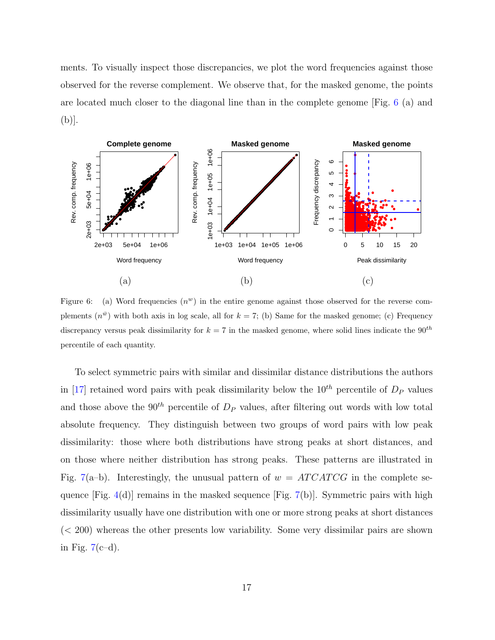ments. To visually inspect those discrepancies, we plot the word frequencies against those observed for the reverse complement. We observe that, for the masked genome, the points are located much closer to the diagonal line than in the complete genome  $[Fig. 6 (a)$  and  $(b)$ .



<span id="page-16-0"></span>Figure 6: (a) Word frequencies  $(n^w)$  in the entire genome against those observed for the reverse complements  $(n^{\bar{w}})$  with both axis in log scale, all for  $k = 7$ ; (b) Same for the masked genome; (c) Frequency discrepancy versus peak dissimilarity for  $k = 7$  in the masked genome, where solid lines indicate the  $90^{th}$ percentile of each quantity.

To select symmetric pairs with similar and dissimilar distance distributions the authors in [17] retained word pairs with peak dissimilarity below the  $10^{th}$  percentile of  $D<sub>P</sub>$  values and those above the  $90^{th}$  percentile of  $D_P$  values, after filtering out words with low total absolute frequency. They distinguish between two groups of word pairs with low peak dissimilarity: those where both distributions have strong peaks at short distances, and on those where neither distribution has strong peaks. These patterns are illustrated in Fig. 7(a-b). Interestingly, the unusual pattern of  $w = ATCATCG$  in the complete sequence [Fig.  $4(d)$ ] remains in the masked sequence [Fig.  $7(b)$ ]. Symmetric pairs with high dissimilarity usually have one distribution with one or more strong peaks at short distances  $(< 200$ ) whereas the other presents low variability. Some very dissimilar pairs are shown in Fig.  $7(c-d)$ .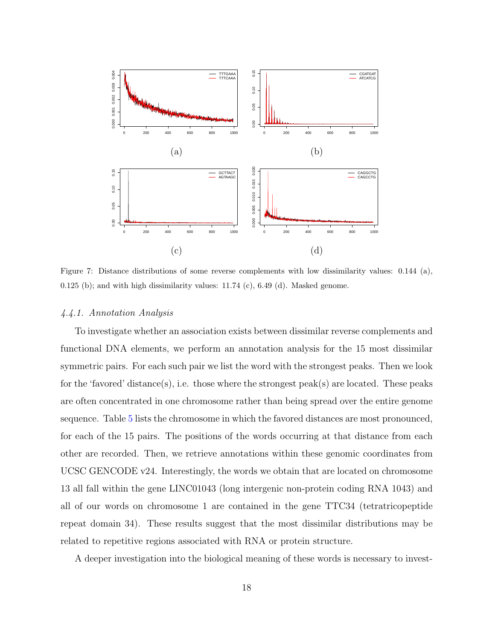

<span id="page-17-0"></span>Figure 7: Distance distributions of some reverse complements with low dissimilarity values: 0.144 (a), 0.125 (b); and with high dissimilarity values:  $11.74$  (c),  $6.49$  (d). Masked genome.

# 4.4.1. Annotation Analysis

To investigate whether an association exists between dissimilar reverse complements and functional DNA elements, we perform an annotation analysis for the 15 most dissimilar symmetric pairs. For each such pair we list the word with the strongest peaks. Then we look for the 'favored' distance(s), i.e. those where the strongest peak(s) are located. These peaks are often concentrated in one chromosome rather than being spread over the entire genome sequence. Table [5](#page-18-0) lists the chromosome in which the favored distances are most pronounced, for each of the 15 pairs. The positions of the words occurring at that distance from each other are recorded. Then, we retrieve annotations within these genomic coordinates from UCSC GENCODE v24. Interestingly, the words we obtain that are located on chromosome 13 all fall within the gene LINC01043 (long intergenic non-protein coding RNA 1043) and all of our words on chromosome 1 are contained in the gene TTC34 (tetratricopeptide repeat domain 34). These results suggest that the most dissimilar distributions may be related to repetitive regions associated with RNA or protein structure.

A deeper investigation into the biological meaning of these words is necessary to invest-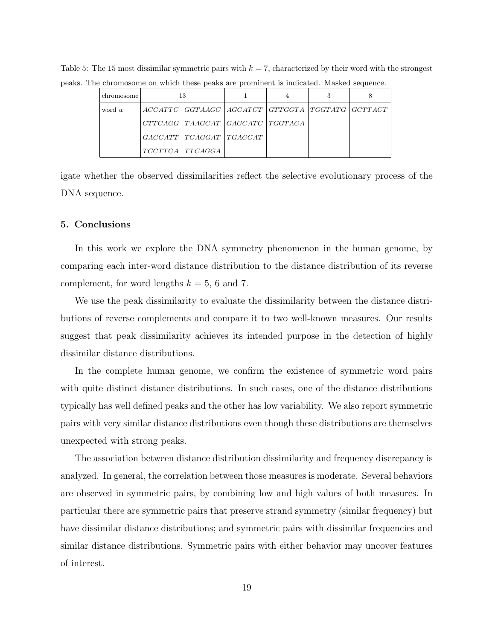<span id="page-18-0"></span>

| chromosome |                 |                         |                                                         |  |  |
|------------|-----------------|-------------------------|---------------------------------------------------------|--|--|
| word w     |                 |                         | ACCATTC GGTAAGC   AGCATCT   GTTGGTA   TGGTATG   GCTTACT |  |  |
|            |                 |                         | CTTCAGG TAAGCAT   GAGCATC   TGGTAGA                     |  |  |
|            |                 | GACCATT TCAGGAT TGAGCAT |                                                         |  |  |
|            | TCCTTCA TTCAGGA |                         |                                                         |  |  |

Table 5: The 15 most dissimilar symmetric pairs with  $k = 7$ , characterized by their word with the strongest peaks. The chromosome on which these peaks are prominent is indicated. Masked sequence.

igate whether the observed dissimilarities reflect the selective evolutionary process of the DNA sequence.

# 5. Conclusions

In this work we explore the DNA symmetry phenomenon in the human genome, by comparing each inter-word distance distribution to the distance distribution of its reverse complement, for word lengths  $k = 5, 6$  and 7.

We use the peak dissimilarity to evaluate the dissimilarity between the distance distributions of reverse complements and compare it to two well-known measures. Our results suggest that peak dissimilarity achieves its intended purpose in the detection of highly dissimilar distance distributions.

In the complete human genome, we confirm the existence of symmetric word pairs with quite distinct distance distributions. In such cases, one of the distance distributions typically has well defined peaks and the other has low variability. We also report symmetric pairs with very similar distance distributions even though these distributions are themselves unexpected with strong peaks.

The association between distance distribution dissimilarity and frequency discrepancy is analyzed. In general, the correlation between those measures is moderate. Several behaviors are observed in symmetric pairs, by combining low and high values of both measures. In particular there are symmetric pairs that preserve strand symmetry (similar frequency) but have dissimilar distance distributions; and symmetric pairs with dissimilar frequencies and similar distance distributions. Symmetric pairs with either behavior may uncover features of interest.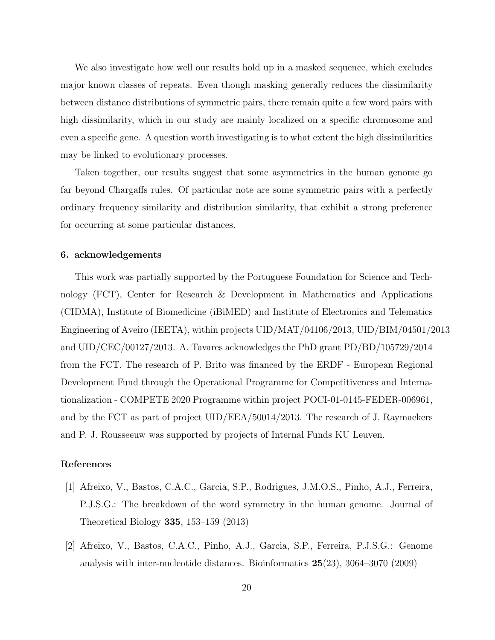We also investigate how well our results hold up in a masked sequence, which excludes major known classes of repeats. Even though masking generally reduces the dissimilarity between distance distributions of symmetric pairs, there remain quite a few word pairs with high dissimilarity, which in our study are mainly localized on a specific chromosome and even a specific gene. A question worth investigating is to what extent the high dissimilarities may be linked to evolutionary processes.

Taken together, our results suggest that some asymmetries in the human genome go far beyond Chargaffs rules. Of particular note are some symmetric pairs with a perfectly ordinary frequency similarity and distribution similarity, that exhibit a strong preference for occurring at some particular distances.

# 6. acknowledgements

This work was partially supported by the Portuguese Foundation for Science and Technology (FCT), Center for Research & Development in Mathematics and Applications (CIDMA), Institute of Biomedicine (iBiMED) and Institute of Electronics and Telematics Engineering of Aveiro (IEETA), within projects UID/MAT/04106/2013, UID/BIM/04501/2013 and UID/CEC/00127/2013. A. Tavares acknowledges the PhD grant PD/BD/105729/2014 from the FCT. The research of P. Brito was financed by the ERDF - European Regional Development Fund through the Operational Programme for Competitiveness and Internationalization - COMPETE 2020 Programme within project POCI-01-0145-FEDER-006961, and by the FCT as part of project UID/EEA/50014/2013. The research of J. Raymaekers and P. J. Rousseeuw was supported by projects of Internal Funds KU Leuven.

# References

- <span id="page-19-1"></span>[1] Afreixo, V., Bastos, C.A.C., Garcia, S.P., Rodrigues, J.M.O.S., Pinho, A.J., Ferreira, P.J.S.G.: The breakdown of the word symmetry in the human genome. Journal of Theoretical Biology 335, 153–159 (2013)
- <span id="page-19-0"></span>[2] Afreixo, V., Bastos, C.A.C., Pinho, A.J., Garcia, S.P., Ferreira, P.J.S.G.: Genome analysis with inter-nucleotide distances. Bioinformatics 25(23), 3064–3070 (2009)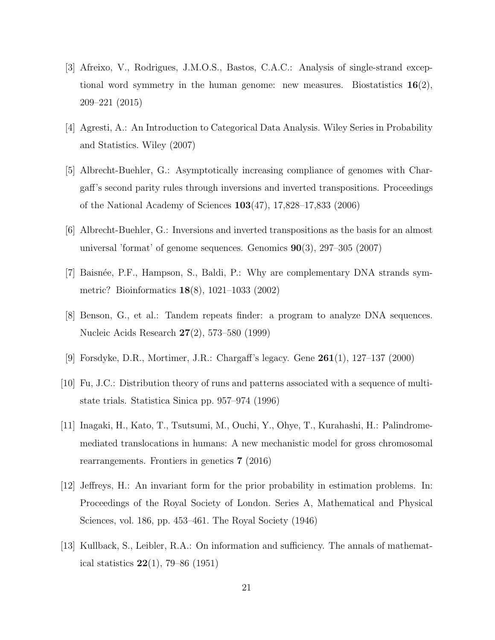- <span id="page-20-4"></span>[3] Afreixo, V., Rodrigues, J.M.O.S., Bastos, C.A.C.: Analysis of single-strand exceptional word symmetry in the human genome: new measures. Biostatistics  $16(2)$ , 209–221 (2015)
- <span id="page-20-6"></span>[4] Agresti, A.: An Introduction to Categorical Data Analysis. Wiley Series in Probability and Statistics. Wiley (2007)
- <span id="page-20-5"></span>[5] Albrecht-Buehler, G.: Asymptotically increasing compliance of genomes with Chargaff's second parity rules through inversions and inverted transpositions. Proceedings of the National Academy of Sciences 103(47), 17,828–17,833 (2006)
- <span id="page-20-2"></span>[6] Albrecht-Buehler, G.: Inversions and inverted transpositions as the basis for an almost universal 'format' of genome sequences. Genomics 90(3), 297–305 (2007)
- <span id="page-20-1"></span>[7] Baisn´ee, P.F., Hampson, S., Baldi, P.: Why are complementary DNA strands symmetric? Bioinformatics 18(8), 1021–1033 (2002)
- <span id="page-20-9"></span>[8] Benson, G., et al.: Tandem repeats finder: a program to analyze DNA sequences. Nucleic Acids Research 27(2), 573–580 (1999)
- <span id="page-20-0"></span>[9] Forsdyke, D.R., Mortimer, J.R.: Chargaff's legacy. Gene 261(1), 127–137 (2000)
- <span id="page-20-10"></span>[10] Fu, J.C.: Distribution theory of runs and patterns associated with a sequence of multistate trials. Statistica Sinica pp. 957–974 (1996)
- <span id="page-20-3"></span>[11] Inagaki, H., Kato, T., Tsutsumi, M., Ouchi, Y., Ohye, T., Kurahashi, H.: Palindromemediated translocations in humans: A new mechanistic model for gross chromosomal rearrangements. Frontiers in genetics 7 (2016)
- <span id="page-20-8"></span>[12] Jeffreys, H.: An invariant form for the prior probability in estimation problems. In: Proceedings of the Royal Society of London. Series A, Mathematical and Physical Sciences, vol. 186, pp. 453–461. The Royal Society (1946)
- <span id="page-20-7"></span>[13] Kullback, S., Leibler, R.A.: On information and sufficiency. The annals of mathematical statistics  $22(1)$ , 79–86 (1951)